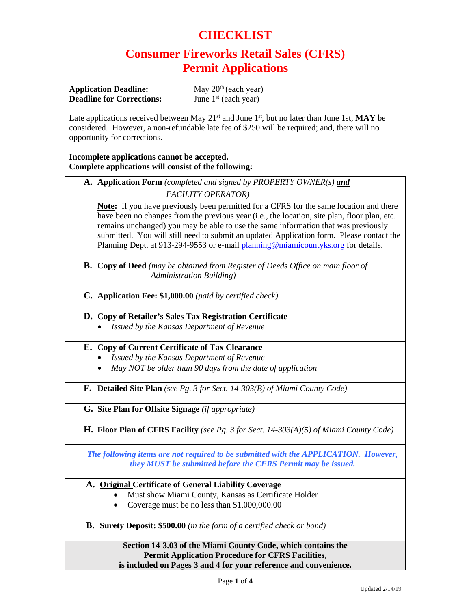### **CHECKLIST**

# **Consumer Fireworks Retail Sales (CFRS) Permit Applications**

| <b>Application Deadline:</b>     | May $20th$ (each year) |
|----------------------------------|------------------------|
| <b>Deadline for Corrections:</b> | June $1st$ (each year) |

Late applications received between May 21<sup>st</sup> and June 1<sup>st</sup>, but no later than June 1st, MAY be considered. However, a non-refundable late fee of \$250 will be required; and, there will no opportunity for corrections.

### **Incomplete applications cannot be accepted. Complete applications will consist of the following:**

|                                                          | A. Application Form (completed and signed by PROPERTY OWNER(s) and                                                                                                                                                                                                                                                                                                                                                                                                  |  |
|----------------------------------------------------------|---------------------------------------------------------------------------------------------------------------------------------------------------------------------------------------------------------------------------------------------------------------------------------------------------------------------------------------------------------------------------------------------------------------------------------------------------------------------|--|
|                                                          | <b>FACILITY OPERATOR)</b>                                                                                                                                                                                                                                                                                                                                                                                                                                           |  |
|                                                          | <b>Note:</b> If you have previously been permitted for a CFRS for the same location and there<br>have been no changes from the previous year (i.e., the location, site plan, floor plan, etc.<br>remains unchanged) you may be able to use the same information that was previously<br>submitted. You will still need to submit an updated Application form. Please contact the<br>Planning Dept. at 913-294-9553 or e-mail planning@miamicountyks.org for details. |  |
|                                                          | <b>B.</b> Copy of Deed (may be obtained from Register of Deeds Office on main floor of<br>Administration Building)                                                                                                                                                                                                                                                                                                                                                  |  |
|                                                          | C. Application Fee: \$1,000.00 (paid by certified check)                                                                                                                                                                                                                                                                                                                                                                                                            |  |
|                                                          | D. Copy of Retailer's Sales Tax Registration Certificate                                                                                                                                                                                                                                                                                                                                                                                                            |  |
|                                                          | Issued by the Kansas Department of Revenue                                                                                                                                                                                                                                                                                                                                                                                                                          |  |
|                                                          | E. Copy of Current Certificate of Tax Clearance                                                                                                                                                                                                                                                                                                                                                                                                                     |  |
|                                                          | Issued by the Kansas Department of Revenue                                                                                                                                                                                                                                                                                                                                                                                                                          |  |
|                                                          | May NOT be older than 90 days from the date of application                                                                                                                                                                                                                                                                                                                                                                                                          |  |
|                                                          | F. Detailed Site Plan (see Pg. 3 for Sect. 14-303(B) of Miami County Code)                                                                                                                                                                                                                                                                                                                                                                                          |  |
|                                                          | G. Site Plan for Offsite Signage (if appropriate)                                                                                                                                                                                                                                                                                                                                                                                                                   |  |
|                                                          | <b>H. Floor Plan of CFRS Facility</b> (see Pg. 3 for Sect. 14-303(A)(5) of Miami County Code)                                                                                                                                                                                                                                                                                                                                                                       |  |
|                                                          | The following items are not required to be submitted with the APPLICATION. However,                                                                                                                                                                                                                                                                                                                                                                                 |  |
|                                                          | they MUST be submitted before the CFRS Permit may be issued.                                                                                                                                                                                                                                                                                                                                                                                                        |  |
|                                                          | A. Original Certificate of General Liability Coverage                                                                                                                                                                                                                                                                                                                                                                                                               |  |
|                                                          | Must show Miami County, Kansas as Certificate Holder                                                                                                                                                                                                                                                                                                                                                                                                                |  |
|                                                          | Coverage must be no less than \$1,000,000.00                                                                                                                                                                                                                                                                                                                                                                                                                        |  |
|                                                          | <b>B.</b> Surety Deposit: \$500.00 (in the form of a certified check or bond)                                                                                                                                                                                                                                                                                                                                                                                       |  |
|                                                          | Section 14-3.03 of the Miami County Code, which contains the                                                                                                                                                                                                                                                                                                                                                                                                        |  |
| <b>Permit Application Procedure for CFRS Facilities,</b> |                                                                                                                                                                                                                                                                                                                                                                                                                                                                     |  |
|                                                          | is included on Pages 3 and 4 for your reference and convenience.                                                                                                                                                                                                                                                                                                                                                                                                    |  |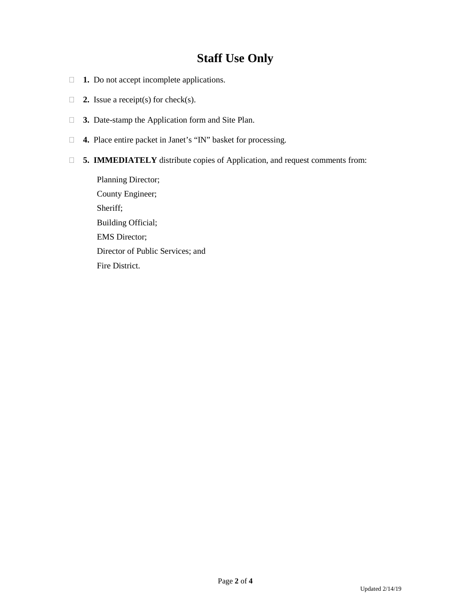## **Staff Use Only**

- **1.** Do not accept incomplete applications.
- **2.** Issue a receipt(s) for check(s).
- **3.** Date-stamp the Application form and Site Plan.
- **4.** Place entire packet in Janet's "IN" basket for processing.
- **5. IMMEDIATELY** distribute copies of Application, and request comments from:

Planning Director; County Engineer; Sheriff; Building Official; EMS Director; Director of Public Services; and Fire District.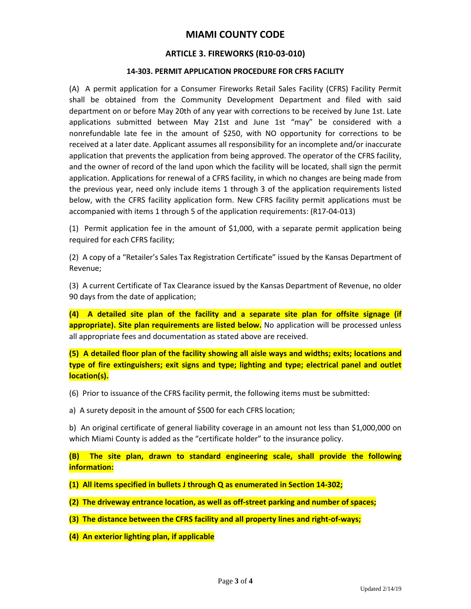### **MIAMI COUNTY CODE**

#### **ARTICLE 3. FIREWORKS (R10-03-010)**

#### **14-303. PERMIT APPLICATION PROCEDURE FOR CFRS FACILITY**

(A) A permit application for a Consumer Fireworks Retail Sales Facility (CFRS) Facility Permit shall be obtained from the Community Development Department and filed with said department on or before May 20th of any year with corrections to be received by June 1st. Late applications submitted between May 21st and June 1st "may" be considered with a nonrefundable late fee in the amount of \$250, with NO opportunity for corrections to be received at a later date. Applicant assumes all responsibility for an incomplete and/or inaccurate application that prevents the application from being approved. The operator of the CFRS facility, and the owner of record of the land upon which the facility will be located, shall sign the permit application. Applications for renewal of a CFRS facility, in which no changes are being made from the previous year, need only include items 1 through 3 of the application requirements listed below, with the CFRS facility application form. New CFRS facility permit applications must be accompanied with items 1 through 5 of the application requirements: (R17-04-013)

(1) Permit application fee in the amount of \$1,000, with a separate permit application being required for each CFRS facility;

(2) A copy of a "Retailer's Sales Tax Registration Certificate" issued by the Kansas Department of Revenue;

(3) A current Certificate of Tax Clearance issued by the Kansas Department of Revenue, no older 90 days from the date of application;

**(4) A detailed site plan of the facility and a separate site plan for offsite signage (if appropriate). Site plan requirements are listed below.** No application will be processed unless all appropriate fees and documentation as stated above are received.

**(5) A detailed floor plan of the facility showing all aisle ways and widths; exits; locations and type of fire extinguishers; exit signs and type; lighting and type; electrical panel and outlet location(s).**

- (6) Prior to issuance of the CFRS facility permit, the following items must be submitted:
- a) A surety deposit in the amount of \$500 for each CFRS location;

b) An original certificate of general liability coverage in an amount not less than \$1,000,000 on which Miami County is added as the "certificate holder" to the insurance policy.

**(B) The site plan, drawn to standard engineering scale, shall provide the following information:**

- **(1) All items specified in bullets J through Q as enumerated in Section 14-302;**
- **(2) The driveway entrance location, as well as off-street parking and number of spaces;**
- **(3) The distance between the CFRS facility and all property lines and right-of-ways;**
- **(4) An exterior lighting plan, if applicable**